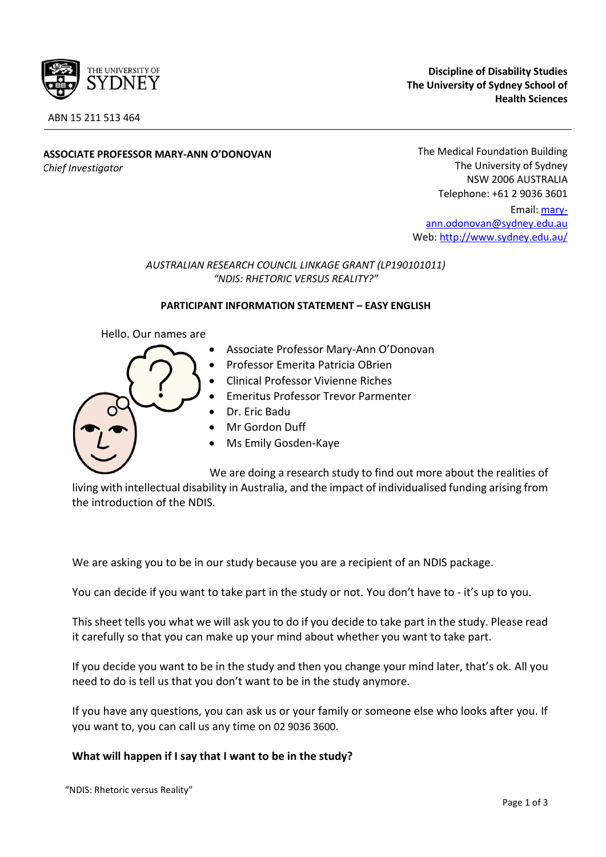

**Discipline of Disability Studies The University of Sydney School of Health Sciences**

**ASSOCIATE PROFESSOR MARY-ANN O'DONOVAN** *Chief Investigator* 

The Medical Foundation Building The University of Sydney NSW 2006 AUSTRALIA Telephone: +61 2 9036 3601

Email[: mary](mailto:mary-ann.odonovan@sydney.edu.au)[ann.odonovan@sydney.edu.au](mailto:mary-ann.odonovan@sydney.edu.au) Web:<http://www.sydney.edu.au/>

### *AUSTRALIAN RESEARCH COUNCIL LINKAGE GRANT (LP190101011) "NDIS: RHETORIC VERSUS REALITY?"*

#### **PARTICIPANT INFORMATION STATEMENT – EASY ENGLISH**

Hello. Our names are

| $\bullet$ |  |  |  | Associate Professor Mary-Ann O'Donovan |
|-----------|--|--|--|----------------------------------------|
|-----------|--|--|--|----------------------------------------|

- Professor Emerita Patricia OBrien
- Clinical Professor Vivienne Riches
- Emeritus Professor Trevor Parmenter
- Dr. Eric Badu
- Mr Gordon Duff
- Ms Emily Gosden-Kaye

We are doing a research study to find out more about the realities of

living with intellectual disability in Australia, and the impact of individualised funding arising from the introduction of the NDIS.

We are asking you to be in our study because you are a recipient of an NDIS package.

You can decide if you want to take part in the study or not. You don't have to - it's up to you.

This sheet tells you what we will ask you to do if you decide to take part in the study. Please read it carefully so that you can make up your mind about whether you want to take part.

If you decide you want to be in the study and then you change your mind later, that's ok. All you need to do is tell us that you don't want to be in the study anymore.

If you have any questions, you can ask us or your family or someone else who looks after you. If you want to, you can call us any time on 02 9036 3600.

## **What will happen if I say that I want to be in the study?**

"NDIS: Rhetoric versus Reality"

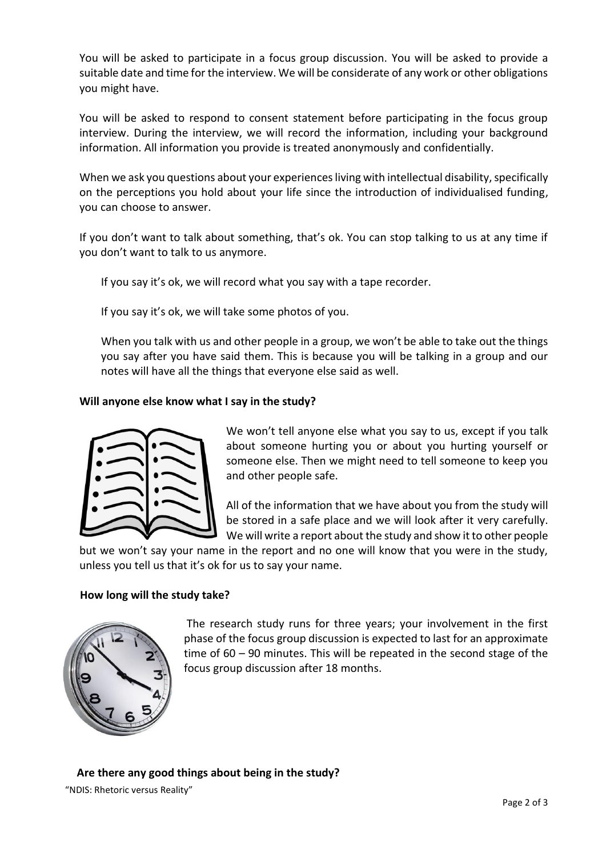You will be asked to participate in a focus group discussion. You will be asked to provide a suitable date and time for the interview. We will be considerate of any work or other obligations you might have.

You will be asked to respond to consent statement before participating in the focus group interview. During the interview, we will record the information, including your background information. All information you provide is treated anonymously and confidentially.

When we ask you questions about your experiences living with intellectual disability, specifically on the perceptions you hold about your life since the introduction of individualised funding, you can choose to answer.

If you don't want to talk about something, that's ok. You can stop talking to us at any time if you don't want to talk to us anymore.

If you say it's ok, we will record what you say with a tape recorder.

If you say it's ok, we will take some photos of you.

When you talk with us and other people in a group, we won't be able to take out the things you say after you have said them. This is because you will be talking in a group and our notes will have all the things that everyone else said as well.

#### **Will anyone else know what I say in the study?**



We won't tell anyone else what you say to us, except if you talk about someone hurting you or about you hurting yourself or someone else. Then we might need to tell someone to keep you and other people safe.

All of the information that we have about you from the study will be stored in a safe place and we will look after it very carefully. We will write a report about the study and show it to other people

but we won't say your name in the report and no one will know that you were in the study, unless you tell us that it's ok for us to say your name.

#### **How long will the study take?**



The research study runs for three years; your involvement in the first phase of the focus group discussion is expected to last for an approximate time of 60 – 90 minutes. This will be repeated in the second stage of the focus group discussion after 18 months.

"NDIS: Rhetoric versus Reality" **Are there any good things about being in the study?**